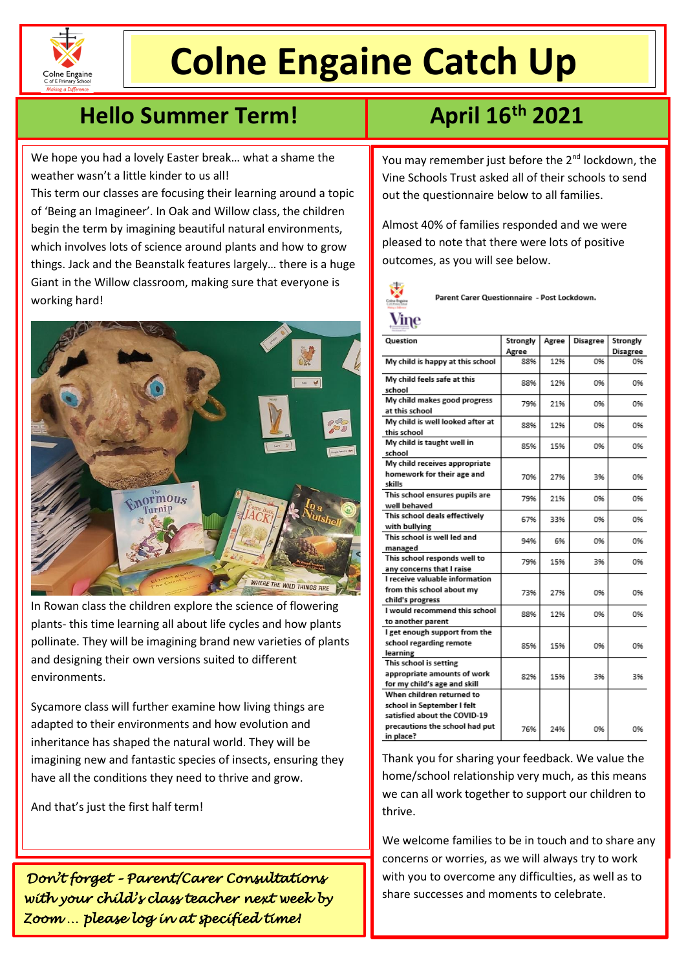

l

# **Colne Engaine Catch Up**

## **Hello Summer Term! April 16th 2021**

We hope you had a lovely Easter break… what a shame the weather wasn't a little kinder to us all!

This term our classes are focusing their learning around a topic of 'Being an Imagineer'. In Oak and Willow class, the children begin the term by imagining beautiful natural environments, which involves lots of science around plants and how to grow things. Jack and the Beanstalk features largely… there is a huge Giant in the Willow classroom, making sure that everyone is working hard!



In Rowan class the children explore the science of flowering plants- this time learning all about life cycles and how plants pollinate. They will be imagining brand new varieties of plants and designing their own versions suited to different environments.

Sycamore class will further examine how living things are adapted to their environments and how evolution and inheritance has shaped the natural world. They will be imagining new and fantastic species of insects, ensuring they have all the conditions they need to thrive and grow.

And that's just the first half term!

*Don't forget – Parent/Carer Consultations with your child's class teacher next week by Zoom … please log in at specified time!* 

You may remember just before the 2<sup>nd</sup> lockdown, the Vine Schools Trust asked all of their schools to send out the questionnaire below to all families.

Almost 40% of families responded and we were pleased to note that there were lots of positive outcomes, as you will see below.



Parent Carer Questionnaire - Post Lockdown.

| Question                         | Strongly | Agree | <b>Disagree</b> | Strongly        |
|----------------------------------|----------|-------|-----------------|-----------------|
|                                  | Agree    |       |                 | <b>Disagree</b> |
| My child is happy at this school | 88%      | 12%   | 0%              | 0%              |
| My child feels safe at this      | 88%      | 12%   | 0%              | 0%              |
| school                           |          |       |                 |                 |
| My child makes good progress     | 79%      | 21%   | 0%              | 0%              |
| at this school                   |          |       |                 |                 |
| My child is well looked after at | 88%      | 12%   | 0%              | 0%              |
| this school                      |          |       |                 |                 |
| My child is taught well in       | 85%      | 15%   | 0%              | 0%              |
| school                           |          |       |                 |                 |
| My child receives appropriate    |          |       |                 |                 |
| homework for their age and       | 70%      | 27%   | 3%              | 0%              |
| skills                           |          |       |                 |                 |
| This school ensures pupils are   | 79%      | 21%   | 0%              | 0%              |
| well behaved                     |          |       |                 |                 |
| This school deals effectively    | 67%      | 33%   | 0%              | 0%              |
| with bullying                    |          |       |                 |                 |
| This school is well led and      | 94%      | 6%    | 0%              | 0%              |
| managed                          |          |       |                 |                 |
| This school responds well to     | 79%      | 15%   | 3%              | 0%              |
| any concerns that I raise        |          |       |                 |                 |
| I receive valuable information   |          |       |                 |                 |
| from this school about my        | 73%      | 27%   | 0%              | 0%              |
| child's progress                 |          |       |                 |                 |
| I would recommend this school    | 88%      | 12%   | 0%              | 0%              |
| to another parent                |          |       |                 |                 |
| I get enough support from the    |          |       |                 |                 |
| school regarding remote          | 85%      | 15%   | 0%              | 0%              |
| learning                         |          |       |                 |                 |
| This school is setting           |          |       |                 |                 |
| appropriate amounts of work      | 82%      | 15%   | 3%              | 3%              |
| for my child's age and skill     |          |       |                 |                 |
| When children returned to        |          |       |                 |                 |
| school in September I felt       |          |       |                 |                 |
| satisfied about the COVID-19     |          |       |                 |                 |
| precautions the school had put   | 76%      | 24%   | 0%              | 0%              |
| in place?                        |          |       |                 |                 |

Thank you for sharing your feedback. We value the home/school relationship very much, as this means we can all work together to support our children to thrive.

We welcome families to be in touch and to share any concerns or worries, as we will always try to work with you to overcome any difficulties, as well as to share successes and moments to celebrate.